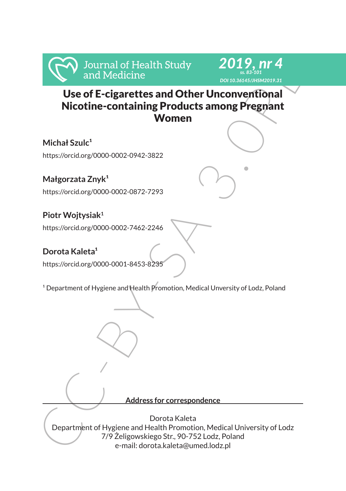# Use of E-cigarettes and Other Unconventional Nicotine-containing Products among Pregnant Women

*2019, nr 4 ss. 83-101 DOI 10.36145/JHSM2019.31*

**Michał Szulc<sup>1</sup>** https://orcid.org/0000-0002-0942-3822

Małgorzata Znyk<sup>1</sup> https://orcid.org/0000-0002-0872-7293

**Piotr Wojtysiak<sup>1</sup>** https://orcid.org/0000-0002-7462-2246

Dorota Kaleta<sup>1</sup> https://orcid.org/0000-0001-8453-8235

<sup>1</sup> Department of Hygiene and Health Promotion, Medical Unversity of Lodz, Poland

**Address for correspondence**

From the Study and Medicine<br>
Use of E-cigarettes and Other Unconventional<br>
Nicotine-containing Products among Pregnant<br>
Michał Szulc<sup>+</sup><br>
Mitps://orcidorg/0000 0002-0942-3822<br>
Małgorzata Znyk<sup>+</sup><br>
Mitps://orcidorg/0000-0002-Dorota Kaleta Department of Hygiene and Health Promotion, Medical University of Lodz 7/9 Żeligowskiego Str., 90-752 Lodz, Poland e-mail: dorota.kaleta@umed.lodz.pl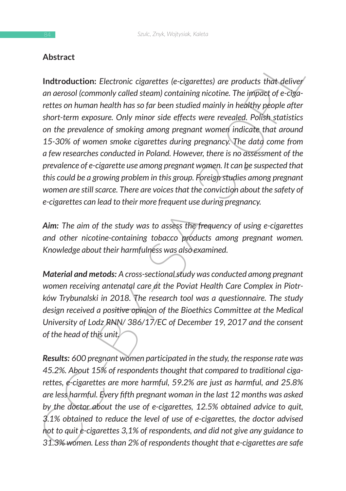## **Abstract**

**Hustract**<br> **Indtroduction:** Electronic cigarettes (e-cigarettes) are products that deliver<br>
are aerosol (commonly called steam) containing nicotine. The upparettes of e-cigare<br>
rettes on human health has so far been stud **Indtroduction:** *Electronic cigarettes (e-cigarettes) are products that deliver an aerosol (commonly called steam) containing nicotine. The impact of e-cigarettes on human health has so far been studied mainly in healthy people after short-term exposure. Only minor side effects were revealed. Polish statistics on the prevalence of smoking among pregnant women indicate that around 15-30% of women smoke cigarettes during pregnancy. The data come from a few researches conducted in Poland. However, there is no assessment of the prevalence of e-cigarette use among pregnant women. It can be suspected that this could be a growing problem in this group. Foreign studies among pregnant women are still scarce. There are voices that the conviction about the safety of e-cigarettes can lead to their more frequent use during pregnancy.*

*Aim: The aim of the study was to assess the frequency of using e-cigarettes and other nicotine-containing tobacco products among pregnant women. Knowledge about their harmfulness was also examined.*

*Material and metods: A cross-sectional study was conducted among pregnant women receiving antenatal care at the Poviat Health Care Complex in Piotrków Trybunalski in 2018. The research tool was a questionnaire. The study design received a positive opinion of the Bioethics Committee at the Medical University of Lodz RNN/ 386/17/EC of December 19, 2017 and the consent of the head of this unit.*

*Results: 600 pregnant women participated in the study, the response rate was 45.2%. About 15% of respondents thought that compared to traditional cigarettes, e-cigarettes are more harmful, 59.2% are just as harmful, and 25.8% are less harmful. Every fifth pregnant woman in the last 12 months was asked by the doctor about the use of e-cigarettes, 12.5% obtained advice to quit, 3.1% obtained to reduce the level of use of e-cigarettes, the doctor advised not to quit e-cigarettes 3,1% of respondents, and did not give any guidance to 31.3% women. Less than 2% of respondents thought that e-cigarettes are safe*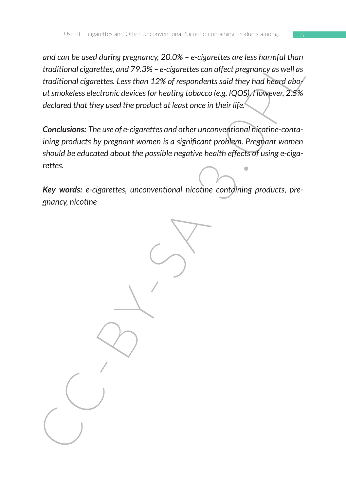and can be used turning president, 2.0.0% – e-cigarettes can diffect pregnancy as well as<br>traditional cigarettes, and 79.3% – e-cigarettes can diffect pregnancy as well as<br>traditional cigarettes. Less than 12% of responden *and can be used during pregnancy, 20.0% – e-cigarettes are less harmful than traditional cigarettes, and 79.3% – e-cigarettes can affect pregnancy as well as traditional cigarettes. Less than 12% of respondents said they had heard about smokeless electronic devices for heating tobacco (e.g. IQOS). However, 2.5% declared that they used the product at least once in their life.*

*Conclusions: The use of e-cigarettes and other unconventional nicotine-containing products by pregnant women is a significant problem. Pregnant women should be educated about the possible negative health effects of using e-cigarettes.*

*Key words: e-cigarettes, unconventional nicotine containing products, pregnancy, nicotine*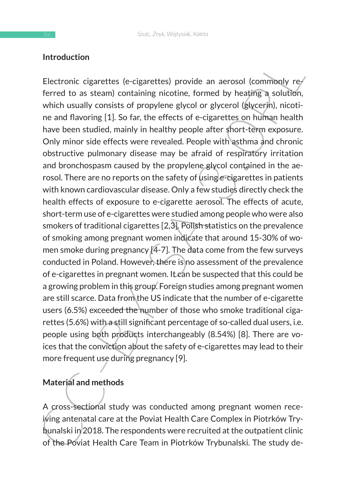#### **Introduction**

Introduction<br>
Electronic cigarettes (e-cigarettes) provide an aerosol (commonly re-<br>
ferred to as steam) contining nicotine, formed by heating a solution<br>
which usually consists of propylene glycol or glycerol (glycerin), Electronic cigarettes (e-cigarettes) provide an aerosol (commonly referred to as steam) containing nicotine, formed by heating a solution, which usually consists of propylene glycol or glycerol (glycerin), nicotine and flavoring [1]. So far, the effects of e-cigarettes on human health have been studied, mainly in healthy people after short-term exposure. Only minor side effects were revealed. People with asthma and chronic obstructive pulmonary disease may be afraid of respiratory irritation and bronchospasm caused by the propylene glycol contained in the aerosol. There are no reports on the safety of using e-cigarettes in patients with known cardiovascular disease. Only a few studies directly check the health effects of exposure to e-cigarette aerosol. The effects of acute, short-term use of e-cigarettes were studied among people who were also smokers of traditional cigarettes [2,3]. Polish statistics on the prevalence of smoking among pregnant women indicate that around 15-30% of women smoke during pregnancy [4-7]. The data come from the few surveys conducted in Poland. However, there is no assessment of the prevalence of e-cigarettes in pregnant women. It can be suspected that this could be a growing problem in this group. Foreign studies among pregnant women are still scarce. Data from the US indicate that the number of e-cigarette users (6.5%) exceeded the number of those who smoke traditional cigarettes (5.6%) with a still significant percentage of so-called dual users, i.e. people using both products interchangeably (8.54%) [8]. There are voices that the conviction about the safety of e-cigarettes may lead to their more frequent use during pregnancy [9].

## **Material and methods**

A cross-sectional study was conducted among pregnant women receiving antenatal care at the Poviat Health Care Complex in Piotrków Trybunalski in 2018. The respondents were recruited at the outpatient clinic of the Poviat Health Care Team in Piotrków Trybunalski. The study de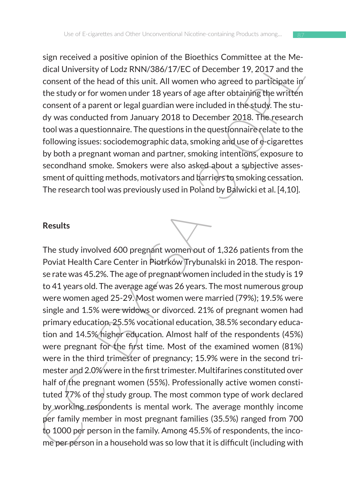sign received a positive opinion of the Bioethics Committee at the Medical University of Lodz RNN/386/17/EC of December 19, 2017 and the consent of the head of this unit. All women who agreed to participate in the study or for women under 18 years of age after obtaining the written consent of a parent or legal guardian were included in the study. The study was conducted from January 2018 to December 2018. The research tool was a questionnaire. The questions in the questionnaire relate to the following issues: sociodemographic data, smoking and use of e-cigarettes by both a pregnant woman and partner, smoking intentions, exposure to secondhand smoke. Smokers were also asked about a subjective assessment of quitting methods, motivators and barriers to smoking cessation. The research tool was previously used in Poland by Balwicki et al. [4,10].

#### **Results**

structure a three because of the because of the solution of the because of the tractical University of Lodz RNN/386/17/EC of December 19, 2017 and the consent of the head of this unit. All women who agreed to participate i The study involved 600 pregnant women out of 1,326 patients from the Poviat Health Care Center in Piotrków Trybunalski in 2018. The response rate was 45.2%. The age of pregnant women included in the study is 19 to 41 years old. The average age was 26 years. The most numerous group were women aged 25-29. Most women were married (79%); 19.5% were single and 1.5% were widows or divorced. 21% of pregnant women had primary education, 25.5% vocational education, 38.5% secondary education and 14.5% higher education. Almost half of the respondents (45%) were pregnant for the first time. Most of the examined women (81%) were in the third trimester of pregnancy; 15.9% were in the second trimester and 2.0% were in the first trimester. Multifarines constituted over half of the pregnant women (55%). Professionally active women constituted 77% of the study group. The most common type of work declared by working respondents is mental work. The average monthly income per family member in most pregnant families (35.5%) ranged from 700 to 1000 per person in the family. Among 45.5% of respondents, the income per person in a household was so low that it is difficult (including with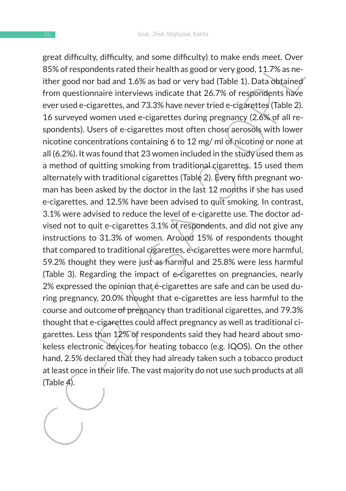geta unitury, amutory, and some uniturity to make ensus meet. Over the set of the system enter that the system of the good or very good, 11.7% as neither good or both and 1.6% as bad or very bad (Table 1). Data obtained f great difficulty, difficulty, and some difficulty) to make ends meet. Over 85% of respondents rated their health as good or very good, 11.7% as neither good nor bad and 1.6% as bad or very bad (Table 1). Data obtained from questionnaire interviews indicate that 26.7% of respondents have ever used e-cigarettes, and 73.3% have never tried e-cigarettes (Table 2). 16 surveyed women used e-cigarettes during pregnancy (2.6% of all respondents). Users of e-cigarettes most often chose aerosols with lower nicotine concentrations containing 6 to 12 mg/ ml of nicotine or none at all (6.2%). It was found that 23 women included in the study used them as a method of quitting smoking from traditional cigarettes, 15 used them alternately with traditional cigarettes (Table 2). Every fifth pregnant woman has been asked by the doctor in the last 12 months if she has used e-cigarettes, and 12.5% have been advised to quit smoking. In contrast, 3.1% were advised to reduce the level of e-cigarette use. The doctor advised not to quit e-cigarettes 3.1% of respondents, and did not give any instructions to 31.3% of women. Around 15% of respondents thought that compared to traditional cigarettes, e-cigarettes were more harmful, 59.2% thought they were just as harmful and 25.8% were less harmful (Table 3). Regarding the impact of e-cigarettes on pregnancies, nearly 2% expressed the opinion that e-cigarettes are safe and can be used during pregnancy, 20.0% thought that e-cigarettes are less harmful to the course and outcome of pregnancy than traditional cigarettes, and 79.3% thought that e-cigarettes could affect pregnancy as well as traditional cigarettes. Less than 12% of respondents said they had heard about smokeless electronic devices for heating tobacco (e.g. IQOS). On the other hand, 2.5% declared that they had already taken such a tobacco product at least once in their life. The vast majority do not use such products at all (Table 4).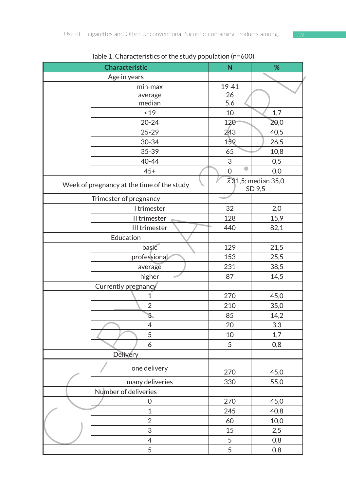| Characteristic                             | ${\sf N}$                             | %    |
|--------------------------------------------|---------------------------------------|------|
| Age in years                               |                                       |      |
| min-max                                    | 19-41                                 |      |
| average                                    | 26                                    |      |
| median                                     | 5,6                                   |      |
| < 19                                       | 10                                    | 1,7  |
| $20 - 24$                                  | 120                                   | 20,0 |
| $25 - 29$                                  | 243                                   | 40,5 |
| 30-34                                      | 159                                   | 26,5 |
| 35-39                                      | 65                                    | 10,8 |
| 40-44                                      | 3                                     | 0,5  |
| $45+$                                      | 0                                     | 0,0  |
| Week of pregnancy at the time of the study | $\bar{x}$ 31,5; median 35,0<br>SD 9,5 |      |
| Trimester of pregnancy                     |                                       |      |
| I trimester                                | 32                                    | 2,0  |
| II trimester                               | 128                                   | 15,9 |
| III trimester                              | 440                                   | 82,1 |
| Education                                  |                                       |      |
| basic                                      | 129                                   | 21,5 |
| professional                               | 153                                   | 25,5 |
| average                                    | 231                                   | 38,5 |
| higher                                     | 87                                    | 14,5 |
| Currently pregnancy                        |                                       |      |
| 1                                          | 270                                   | 45,0 |
| $\overline{2}$                             | 210                                   | 35,0 |
| $\overline{\mathbf{3}}$                    | 85                                    | 14,2 |
| 4                                          | 20                                    | 3,3  |
| 5                                          | 10                                    | 1,7  |
| 6                                          | 5                                     | 0,8  |
| Delivery                                   |                                       |      |
|                                            |                                       |      |
| one delivery                               | 270                                   | 45,0 |
| many deliveries                            | 330                                   | 55,0 |
| Number of deliveries                       |                                       |      |
| $\mathbf 0$                                | 270                                   | 45,0 |
| $\mathbf 1$                                | 245                                   | 40,8 |
| $\overline{2}$                             | 60                                    | 10,0 |
| 3                                          | 15                                    | 2,5  |
| $\overline{\mathcal{L}}$                   | 5                                     | 0,8  |
| $\overline{5}$                             | 5                                     | 0,8  |
|                                            |                                       |      |

#### Table 1. Characteristics of the study population (n=600)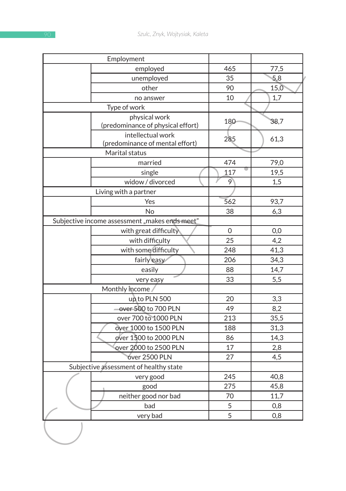| 465<br>35<br>90<br>10<br>180<br>285<br>474<br>117<br>9<br>562<br>38<br>$\mathbf 0$<br>25 | 77,5<br>5,8<br>15,0<br>1,7<br>38,7<br>61,3<br>79,0<br>19,5<br>1,5<br>93,7<br>6,3<br>0,0<br>4,2 |
|------------------------------------------------------------------------------------------|------------------------------------------------------------------------------------------------|
|                                                                                          |                                                                                                |
|                                                                                          |                                                                                                |
|                                                                                          |                                                                                                |
|                                                                                          |                                                                                                |
|                                                                                          |                                                                                                |
|                                                                                          |                                                                                                |
|                                                                                          |                                                                                                |
|                                                                                          |                                                                                                |
|                                                                                          |                                                                                                |
|                                                                                          |                                                                                                |
|                                                                                          |                                                                                                |
|                                                                                          |                                                                                                |
|                                                                                          |                                                                                                |
|                                                                                          |                                                                                                |
|                                                                                          |                                                                                                |
|                                                                                          |                                                                                                |
|                                                                                          |                                                                                                |
|                                                                                          |                                                                                                |
|                                                                                          |                                                                                                |
| 248                                                                                      | 41,3                                                                                           |
| 206                                                                                      | 34,3                                                                                           |
| 88                                                                                       | 14,7                                                                                           |
| 33                                                                                       | 5,5                                                                                            |
|                                                                                          |                                                                                                |
| 20                                                                                       | 3,3                                                                                            |
| 49                                                                                       | 8,2                                                                                            |
| 213                                                                                      | 35,5                                                                                           |
| 188                                                                                      | 31,3                                                                                           |
| 86                                                                                       | 14,3                                                                                           |
| 17                                                                                       | 2,8                                                                                            |
|                                                                                          | 4,5                                                                                            |
|                                                                                          |                                                                                                |
|                                                                                          | 40,8                                                                                           |
|                                                                                          | 45,8                                                                                           |
|                                                                                          | 11,7                                                                                           |
|                                                                                          | 0,8                                                                                            |
| 70                                                                                       | 0,8                                                                                            |
|                                                                                          | 27<br>245<br>275<br>5<br>$\overline{5}$                                                        |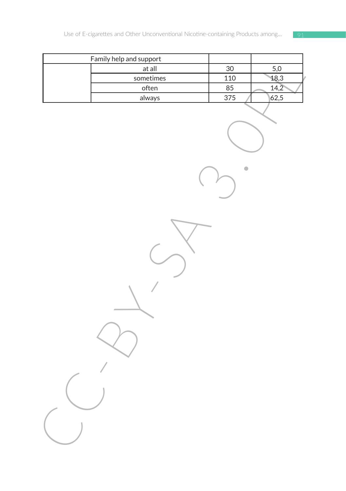| Family help and support |                 |                    |
|-------------------------|-----------------|--------------------|
| at all                  | $\overline{30}$ | $\frac{5,0}{18,3}$ |
| sometimes               | 110             |                    |
| often                   | 85              | 14,2               |
| always                  | $\frac{375}{ }$ | 62,5               |
|                         |                 |                    |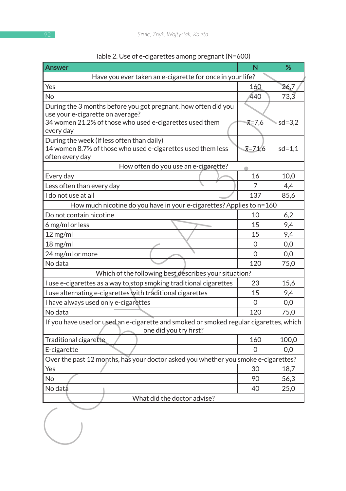| Answer                                                                                                    | N                | %          |
|-----------------------------------------------------------------------------------------------------------|------------------|------------|
| Have you ever taken an e-cigarette for once in your life?                                                 |                  |            |
| Yes                                                                                                       | 160              | 26,7       |
| <b>No</b>                                                                                                 | 440              | 73,3       |
| During the 3 months before you got pregnant, how often did you                                            |                  |            |
| use your e-cigarette on average?                                                                          |                  |            |
| 34 women 21.2% of those who used e-cigarettes used them                                                   | $\bar{x}$ =7,6   | ∍ sd=3,2   |
| every day                                                                                                 |                  |            |
| During the week (if less often than daily)<br>14 women 8.7% of those who used e-cigarettes used them less | $\bar{x} = 71,6$ | $sd = 1,1$ |
| often every day                                                                                           |                  |            |
| How often do you use an e-cigarette?                                                                      |                  |            |
| Every day                                                                                                 | 16               | 10,0       |
| Less often than every day                                                                                 | 7                | 4,4        |
| I do not use at all                                                                                       | 137              | 85,6       |
| How much nicotine do you have in your e-cigarettes? Applies to n=160                                      |                  |            |
| Do not contain nicotine                                                                                   | 10               | 6,2        |
| 6 mg/ml or less                                                                                           | 15               | 9,4        |
| $12$ mg/ml                                                                                                | 15               | 9,4        |
| 18 mg/ml                                                                                                  | 0                | 0,0        |
| 24 mg/ml or more                                                                                          | 0                | 0,0        |
| No data                                                                                                   | 120              | 75,0       |
| Which of the following best describes your situation?                                                     |                  |            |
| I use e-cigarettes as a way to stop smoking traditional cigarettes                                        | 23               | 15,6       |
| I use alternating e-cigarettes with traditional cigarettes                                                | 15               | 9,4        |
| I have always used only e-cigarettes                                                                      | 0                | 0,0        |
| No data                                                                                                   | 120              | 75,0       |
| If you have used or used an e-cigarette and smoked or smoked regular cigarettes, which                    |                  |            |
| one did you try first?                                                                                    |                  |            |
| Traditional cigarette                                                                                     | 160              | 100,0      |
| E-cigarette                                                                                               | $\Omega$         | 0,0        |
| Over the past 12 months, has your doctor asked you whether you smoke e-cigarettes?                        |                  |            |
| Yes                                                                                                       | 30               | 18,7       |
| <b>No</b>                                                                                                 | 90               | 56,3       |
| No data                                                                                                   | 40               | 25,0       |
| What did the doctor advise?                                                                               |                  |            |
|                                                                                                           |                  |            |
|                                                                                                           |                  |            |
|                                                                                                           |                  |            |
|                                                                                                           |                  |            |
|                                                                                                           |                  |            |

#### Table 2. Use of e-cigarettes among pregnant (N=600)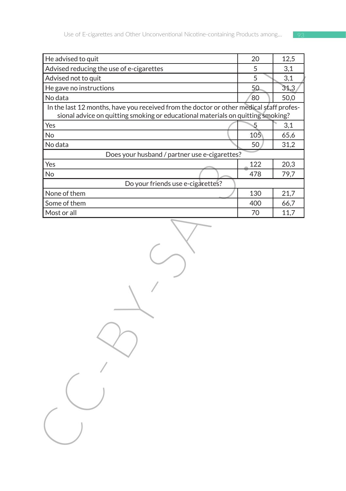| He advised to quit                                                                      | 20  | 12,5 |
|-----------------------------------------------------------------------------------------|-----|------|
| Advised reducing the use of e-cigarettes                                                | 5   | 3,1  |
| Advised not to quit                                                                     | 5   | 3,1  |
| He gave no instructions                                                                 | 50  | 31,3 |
| No data                                                                                 | 80  | 50,0 |
| In the last 12 months, have you received from the doctor or other medical staff profes- |     |      |
| sional advice on quitting smoking or educational materials on quitting smoking?         |     |      |
| Yes                                                                                     | 5   | 3,1  |
| No                                                                                      | 105 | 65,6 |
| No data<br>Does your husband / partner use e-cigarettes?                                | 50  | 31,2 |
| Yes                                                                                     | 122 | 20,3 |
| <b>No</b>                                                                               | 478 | 79,7 |
| Do your friends use e-cigarettes?                                                       |     |      |
| None of them                                                                            | 130 | 21,7 |
| Some of them                                                                            | 400 | 66,7 |
| Most or all                                                                             | 70  | 11,7 |
|                                                                                         |     |      |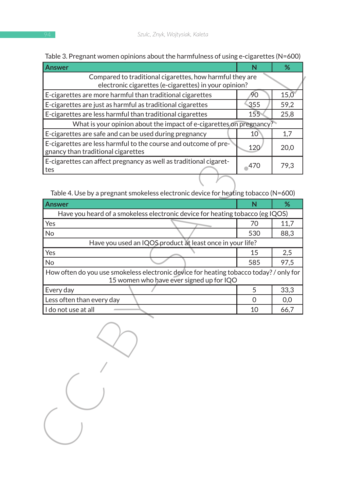| Answer                                                                                                                             | N               | %                 |
|------------------------------------------------------------------------------------------------------------------------------------|-----------------|-------------------|
| Compared to traditional cigarettes, how harmful they are<br>electronic cigarettes (e-cigarettes) in your opinion?                  |                 |                   |
| E-cigarettes are more harmful than traditional cigarettes                                                                          | 90              | $15,\overline{0}$ |
| E-cigarettes are just as harmful as traditional cigarettes                                                                         | 355             | 59,2              |
| E-cigarettes are less harmful than traditional cigarettes                                                                          | 155             | 25,8              |
| What is your opinion about the impact of e-cigarettes on pregnancy?                                                                |                 |                   |
| E-cigarettes are safe and can be used during pregnancy                                                                             | 10 <sup>°</sup> | 1,7               |
| E-cigarettes are less harmful to the course and outcome of pre-<br>gnancy than traditional cigarettes                              | 120             | 20,0              |
| E-cigarettes can affect pregnancy as well as traditional cigaret-<br>tes                                                           | $^{\circ}470$   | 79,3              |
|                                                                                                                                    |                 |                   |
| Table 4. Use by a pregnant smokeless electronic device for heating tobacco (N=600)                                                 |                 |                   |
| Answer                                                                                                                             | N               | %                 |
| Have you heard of a smokeless electronic device for heating tobacco (eg IQOS)                                                      |                 |                   |
| Yes                                                                                                                                | 70              | 11,7              |
| No                                                                                                                                 | 530             | 88,3              |
| Have you used an IQOS product at least once in your life?                                                                          |                 |                   |
| Yes                                                                                                                                | 15              | 2,5               |
| <b>No</b>                                                                                                                          | 585             | 97,5              |
| How often do you use smokeless electronic device for heating tobacco today? / only for<br>15 women who have ever signed up for IQO |                 |                   |
| Every day                                                                                                                          | 5               | 33,3              |
| Less often than every day                                                                                                          | 0               | 0,0               |
| I do not use at all                                                                                                                | 10              | 66,7              |
|                                                                                                                                    |                 |                   |

Table 3. Pregnant women opinions about the harmfulness of using e-cigarettes (N=600)

| <b>Answer</b>                                                                                                                      |     | %    |  |
|------------------------------------------------------------------------------------------------------------------------------------|-----|------|--|
| Have you heard of a smokeless electronic device for heating tobacco (eg IQOS)                                                      |     |      |  |
| Yes                                                                                                                                | 70  | 11,7 |  |
| <b>No</b>                                                                                                                          | 530 | 88,3 |  |
| Have you used an IQOS product at least once in your life?                                                                          |     |      |  |
| Yes                                                                                                                                | 15  | 2,5  |  |
| <b>No</b>                                                                                                                          | 585 | 97.5 |  |
| How often do you use smokeless electronic device for heating tobacco today? / only for<br>15 women who have ever signed up for IQO |     |      |  |
| Every day                                                                                                                          | 5   | 33,3 |  |
| Less often than every day                                                                                                          |     | 0,0  |  |
| I do not use at all                                                                                                                | 10  | 66,7 |  |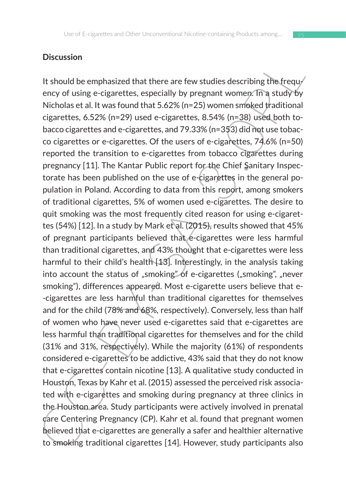#### **Discussion**

It should be emphasized that there are few studies describing the frequy<br>It should be emphasized that there are few studies describing the frequy<br>Micholas et al. It was found that 5.62% (n=25) women smoked fradiultional<br>c It should be emphasized that there are few studies describing the frequency of using e-cigarettes, especially by pregnant women. In a study by Nicholas et al. It was found that 5.62% (n=25) women smoked traditional cigarettes, 6.52% (n=29) used e-cigarettes, 8.54% (n=38) used both tobacco cigarettes and e-cigarettes, and 79.33% (n=353) did not use tobacco cigarettes or e-cigarettes. Of the users of e-cigarettes, 74.6% (n=50) reported the transition to e-cigarettes from tobacco cigarettes during pregnancy [11]. The Kantar Public report for the Chief Sanitary Inspectorate has been published on the use of e-cigarettes in the general population in Poland. According to data from this report, among smokers of traditional cigarettes, 5% of women used e-cigarettes. The desire to quit smoking was the most frequently cited reason for using e-cigarettes (54%) [12]. In a study by Mark et al. (2015), results showed that 45% of pregnant participants believed that e-cigarettes were less harmful than traditional cigarettes, and 43% thought that e-cigarettes were less harmful to their child's health [13]. Interestingly, in the analysis taking into account the status of "smoking" of e-cigarettes ("smoking", "never smoking"), differences appeared. Most e-cigarette users believe that e- -cigarettes are less harmful than traditional cigarettes for themselves and for the child (78% and 68%, respectively). Conversely, less than half of women who have never used e-cigarettes said that e-cigarettes are less harmful than traditional cigarettes for themselves and for the child (31% and 31%, respectively). While the majority (61%) of respondents considered e-cigarettes to be addictive, 43% said that they do not know that e-cigarettes contain nicotine [13]. A qualitative study conducted in Houston, Texas by Kahr et al. (2015) assessed the perceived risk associated with e-cigarettes and smoking during pregnancy at three clinics in the Houston area. Study participants were actively involved in prenatal care Centering Pregnancy (CP). Kahr et al. found that pregnant women believed that e-cigarettes are generally a safer and healthier alternative to smoking traditional cigarettes [14]. However, study participants also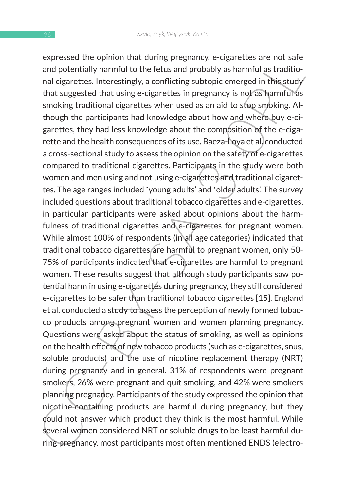expressed the upmin truta curring pregnancy, e-cugaretuses are not sate<br>and potentially harmful to the fetus and probably as harmful as traditional cigarettes. Interestingly, a conflicting subtopic emerged in this study th expressed the opinion that during pregnancy, e-cigarettes are not safe and potentially harmful to the fetus and probably as harmful as traditional cigarettes. Interestingly, a conflicting subtopic emerged in this study that suggested that using e-cigarettes in pregnancy is not as harmful as smoking traditional cigarettes when used as an aid to stop smoking. Although the participants had knowledge about how and where buy e-cigarettes, they had less knowledge about the composition of the e-cigarette and the health consequences of its use. Baeza-Loya et al. conducted a cross-sectional study to assess the opinion on the safety of e-cigarettes compared to traditional cigarettes. Participants in the study were both women and men using and not using e-cigarettes and traditional cigarettes. The age ranges included 'young adults' and 'older adults'. The survey included questions about traditional tobacco cigarettes and e-cigarettes, in particular participants were asked about opinions about the harmfulness of traditional cigarettes and e-cigarettes for pregnant women. While almost 100% of respondents (in all age categories) indicated that traditional tobacco cigarettes are harmful to pregnant women, only 50- 75% of participants indicated that e-cigarettes are harmful to pregnant women. These results suggest that although study participants saw potential harm in using e-cigarettes during pregnancy, they still considered e-cigarettes to be safer than traditional tobacco cigarettes [15]. England et al. conducted a study to assess the perception of newly formed tobacco products among pregnant women and women planning pregnancy. Questions were asked about the status of smoking, as well as opinions on the health effects of new tobacco products (such as e-cigarettes, snus, soluble products) and the use of nicotine replacement therapy (NRT) during pregnancy and in general. 31% of respondents were pregnant smokers, 26% were pregnant and quit smoking, and 42% were smokers planning pregnancy. Participants of the study expressed the opinion that nicotine-containing products are harmful during pregnancy, but they could not answer which product they think is the most harmful. While several women considered NRT or soluble drugs to be least harmful during pregnancy, most participants most often mentioned ENDS (electro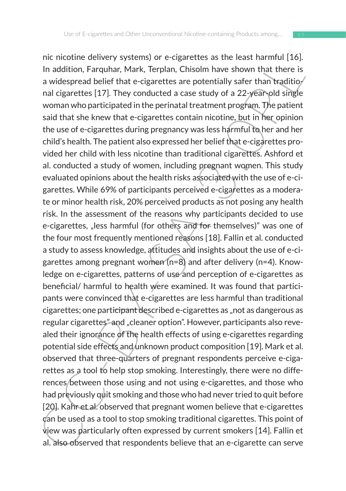In addition, Farquature y systems) or e-togaretuses as the teast naturiturion.<br>In addition, Farquahar, Mark, Terplan, Chisolm have shown that there is<br>a widespread belief that e-cigarettes are potentially safer than tradi nic nicotine delivery systems) or e-cigarettes as the least harmful [16]. In addition, Farquhar, Mark, Terplan, Chisolm have shown that there is a widespread belief that e-cigarettes are potentially safer than traditional cigarettes [17]. They conducted a case study of a 22-year-old single woman who participated in the perinatal treatment program. The patient said that she knew that e-cigarettes contain nicotine, but in her opinion the use of e-cigarettes during pregnancy was less harmful to her and her child's health. The patient also expressed her belief that e-cigarettes provided her child with less nicotine than traditional cigarettes. Ashford et al. conducted a study of women, including pregnant women. This study evaluated opinions about the health risks associated with the use of e-cigarettes. While 69% of participants perceived e-cigarettes as a moderate or minor health risk, 20% perceived products as not posing any health risk. In the assessment of the reasons why participants decided to use e-cigarettes, "less harmful (for others and for themselves)" was one of the four most frequently mentioned reasons [18]. Fallin et al. conducted a study to assess knowledge, attitudes and insights about the use of e-cigarettes among pregnant women (n=8) and after delivery (n=4). Knowledge on e-cigarettes, patterns of use and perception of e-cigarettes as beneficial/ harmful to health were examined. It was found that participants were convinced that e-cigarettes are less harmful than traditional cigarettes; one participant described e-cigarettes as "not as dangerous as regular cigarettes" and "cleaner option". However, participants also revealed their ignorance of the health effects of using e-cigarettes regarding potential side effects and unknown product composition [19]. Mark et al. observed that three-quarters of pregnant respondents perceive e-cigarettes as a tool to help stop smoking. Interestingly, there were no differences between those using and not using e-cigarettes, and those who had previously quit smoking and those who had never tried to quit before

[20]. Kahr et al. observed that pregnant women believe that e-cigarettes can be used as a tool to stop smoking traditional cigarettes. This point of view was particularly often expressed by current smokers [14]. Fallin et al. also observed that respondents believe that an e-cigarette can serve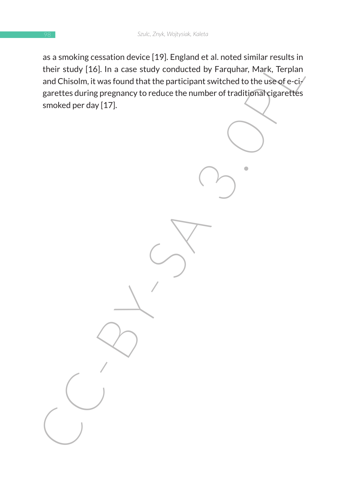as a sinuous cessacion devote (127). Engine de al. - Interessimilar results in<br>their study [16]. In a case study conducted by Farquhar, Mark, Terplan<br>and Chisolm, it was found that the participant switched to the use of eas a smoking cessation device [19]. England et al. noted similar results in their study [16]. In a case study conducted by Farquhar, Mark, Terplan and Chisolm, it was found that the participant switched to the use of e-ci $\mathcal{I}$ garettes during pregnancy to reduce the number of traditional cigarettes smoked per day [17].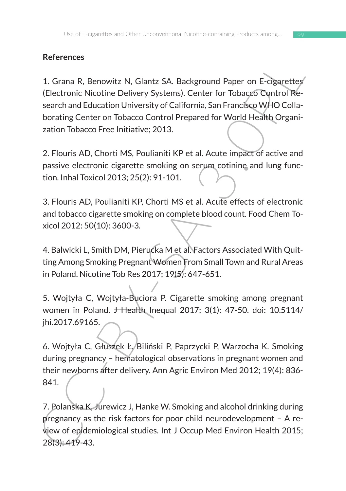# **References**

References<br>
1. Grana R, Benowitz N, Glantz SA. Background Paper on E-cigarettes<br>
(Electronic Nicotine Delivery Systems). Center for Tobacco Control Re-<br>
search and Education University of California, San Francisco WHO Coll 1. Grana R, Benowitz N, Glantz SA. Background Paper on E-cigarettes (Electronic Nicotine Delivery Systems). Center for Tobacco Control Research and Education University of California, San Francisco WHO Collaborating Center on Tobacco Control Prepared for World Health Organization Tobacco Free Initiative; 2013.

2. Flouris AD, Chorti MS, Poulianiti KP et al. Acute impact of active and passive electronic cigarette smoking on serum cotinine and lung function. Inhal Toxicol 2013; 25(2): 91-101.

3. Flouris AD, Poulianiti KP, Chorti MS et al. Acute effects of electronic and tobacco cigarette smoking on complete blood count. Food Chem Toxicol 2012: 50(10): 3600-3.

4. Balwicki L, Smith DM, Pierucka M et al. Factors Associated With Quitting Among Smoking Pregnant Women From Small Town and Rural Areas in Poland. Nicotine Tob Res 2017; 19(5): 647-651.

5. Wojtyła C, Wojtyła-Buciora P. Cigarette smoking among pregnant women in Poland. J Health Inequal 2017; 3(1): 47-50. doi: 10.5114/ jhi.2017.69165.

6. Wojtyła C, Głuszek Ł, Biliński P, Paprzycki P, Warzocha K. Smoking during pregnancy – hematological observations in pregnant women and their newborns after delivery. Ann Agric Environ Med 2012; 19(4): 836- 841.

7. Polanska K, Jurewicz J, Hanke W. Smoking and alcohol drinking during pregnancy as the risk factors for poor child neurodevelopment – A review of epidemiological studies. Int J Occup Med Environ Health 2015; 28(3): 419-43.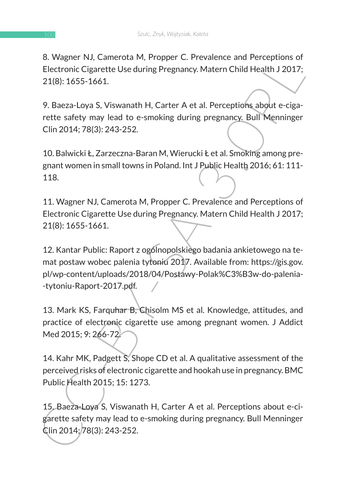8. Wagner NJ, Camerota M, Propper C. Prevalence and Perceptions of Electronic Cigarette Use during Pregnancy. Matern Child Health J 2017; 21(8): 1655-1661.

9. Baeza-Loya S, Viswanath H, Carter A et al. Perceptions about e-cigarette safety may lead to e-smoking during pregnancy. Bull Menninger Clin 2014; 78(3): 243-252.

10. Balwicki Ł, Zarzeczna-Baran M, Wierucki Ł et al. Smoking among pregnant women in small towns in Poland. Int J Public Health 2016; 61: 111- 118.

11. Wagner NJ, Camerota M, Propper C. Prevalence and Perceptions of Electronic Cigarette Use during Pregnancy. Matern Child Health J 2017; 21(8): 1655-1661.

o. wageter tvi, cumterous int, Propper C. Prevalence allo Perceptions of<br>Electronic Gigarette Use during Pregnancy. Matern Child Health J 2017;<br>21(8): 1655-1661.<br>9. Baeza-Loya S, Viswanath H, Carter A et al. Perceptions ab 12. Kantar Public: Raport z ogólnopolskiego badania ankietowego na temat postaw wobec palenia tytoniu 2017. Available from: https://gis.gov. pl/wp-content/uploads/2018/04/Postawy-Polak%C3%B3w-do-palenia- -tytoniu-Raport-2017.pdf.

13. Mark KS, Farquhar B, Chisolm MS et al. Knowledge, attitudes, and practice of electronic cigarette use among pregnant women. J Addict Med 2015; 9: 266-72.

14. Kahr MK, Padgett S, Shope CD et al. A qualitative assessment of the perceived risks of electronic cigarette and hookah use in pregnancy. BMC Public Health 2015; 15: 1273.

15. Baeza-Loya S, Viswanath H, Carter A et al. Perceptions about e-cigarette safety may lead to e-smoking during pregnancy. Bull Menninger Clin 2014; 78(3): 243-252.